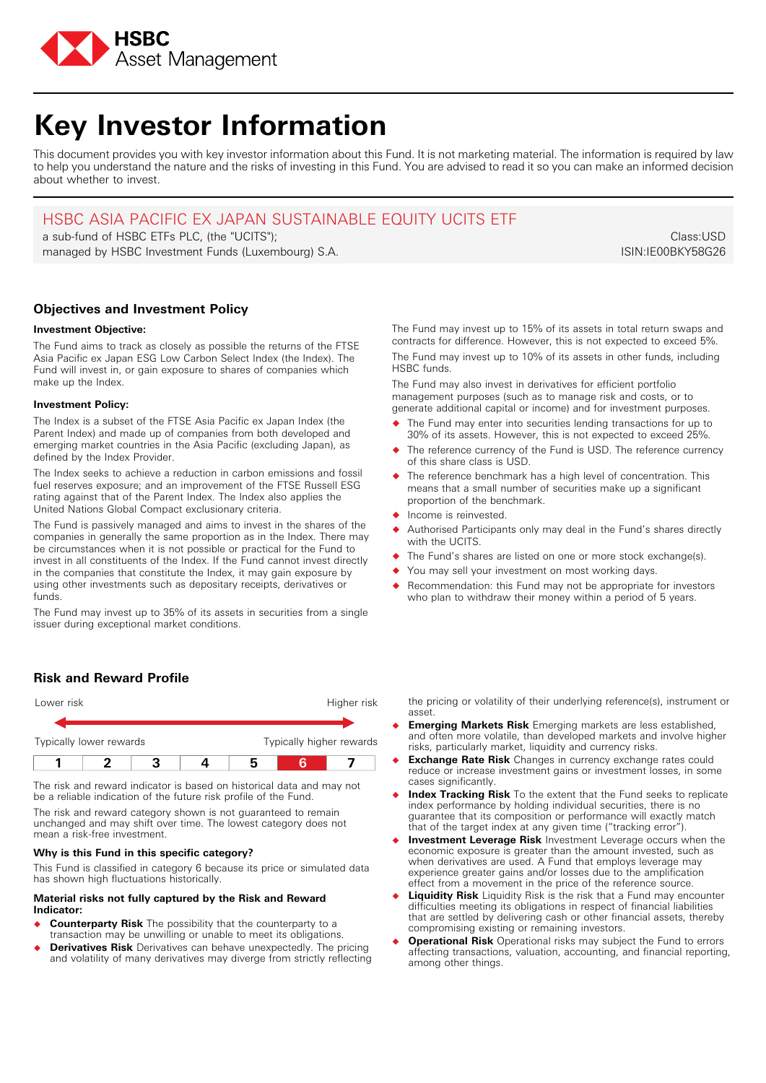

# **Key Investor Information**

This document provides you with key investor information about this Fund. It is not marketing material. The information is required by law to help you understand the nature and the risks of investing in this Fund. You are advised to read it so you can make an informed decision about whether to invest.

## HSBC ASIA PACIFIC EX JAPAN SUSTAINABLE EQUITY UCITS ETF

a sub-fund of HSBC ETFs PLC, (the "UCITS"); managed by HSBC Investment Funds (Luxembourg) S.A.

Class:USD ISIN:IE00BKY58G26

## **Objectives and Investment Policy**

## **Investment Objective:**

The Fund aims to track as closely as possible the returns of the FTSE Asia Pacific ex Japan ESG Low Carbon Select Index (the Index). The Fund will invest in, or gain exposure to shares of companies which make up the Index.

## **Investment Policy:**

The Index is a subset of the FTSE Asia Pacific ex Japan Index (the Parent Index) and made up of companies from both developed and emerging market countries in the Asia Pacific (excluding Japan), as defined by the Index Provider.

The Index seeks to achieve a reduction in carbon emissions and fossil fuel reserves exposure; and an improvement of the FTSE Russell ESG rating against that of the Parent Index. The Index also applies the United Nations Global Compact exclusionary criteria.

The Fund is passively managed and aims to invest in the shares of the companies in generally the same proportion as in the Index. There may be circumstances when it is not possible or practical for the Fund to invest in all constituents of the Index. If the Fund cannot invest directly in the companies that constitute the Index, it may gain exposure by using other investments such as depositary receipts, derivatives or funds.

The Fund may invest up to 35% of its assets in securities from a single issuer during exceptional market conditions.

## **Risk and Reward Profile**

| Lower risk              |  |  | Higher risk              |
|-------------------------|--|--|--------------------------|
|                         |  |  |                          |
| Typically lower rewards |  |  | Typically higher rewards |
|                         |  |  |                          |

The risk and reward indicator is based on historical data and may not be a reliable indication of the future risk profile of the Fund.

The risk and reward category shown is not guaranteed to remain unchanged and may shift over time. The lowest category does not mean a risk-free investment.

## **Why is this Fund in this specific category?**

This Fund is classified in category 6 because its price or simulated data has shown high fluctuations historically.

#### **Material risks not fully captured by the Risk and Reward Indicator:**

- � **Counterparty Risk** The possibility that the counterparty to a transaction may be unwilling or unable to meet its obligations.
- � **Derivatives Risk** Derivatives can behave unexpectedly. The pricing and volatility of many derivatives may diverge from strictly reflecting

The Fund may invest up to 15% of its assets in total return swaps and contracts for difference. However, this is not expected to exceed 5%. The Fund may invest up to 10% of its assets in other funds, including HSBC funds.

The Fund may also invest in derivatives for efficient portfolio management purposes (such as to manage risk and costs, or to generate additional capital or income) and for investment purposes.

- � The Fund may enter into securities lending transactions for up to 30% of its assets. However, this is not expected to exceed 25%.
- The reference currency of the Fund is USD. The reference currency of this share class is USD.
- The reference benchmark has a high level of concentration. This means that a small number of securities make up a significant proportion of the benchmark.
- � Income is reinvested.
- Authorised Participants only may deal in the Fund's shares directly with the UCITS.
- The Fund's shares are listed on one or more stock exchange(s).
- You may sell your investment on most working days.
- Recommendation: this Fund may not be appropriate for investors who plan to withdraw their money within a period of 5 years.

the pricing or volatility of their underlying reference(s), instrument or asset.

- � **Emerging Markets Risk** Emerging markets are less established, and often more volatile, than developed markets and involve higher risks, particularly market, liquidity and currency risks.
- � **Exchange Rate Risk** Changes in currency exchange rates could reduce or increase investment gains or investment losses, in some cases significantly.
- � **Index Tracking Risk** To the extent that the Fund seeks to replicate index performance by holding individual securities, there is no guarantee that its composition or performance will exactly match that of the target index at any given time ("tracking error").
- � **Investment Leverage Risk** Investment Leverage occurs when the economic exposure is greater than the amount invested, such as when derivatives are used. A Fund that employs leverage may experience greater gains and/or losses due to the amplification effect from a movement in the price of the reference source.
- **Liquidity Risk** Liquidity Risk is the risk that a Fund may encounter difficulties meeting its obligations in respect of financial liabilities that are settled by delivering cash or other financial assets, thereby compromising existing or remaining investors.
- � **Operational Risk** Operational risks may subject the Fund to errors affecting transactions, valuation, accounting, and financial reporting, among other things.